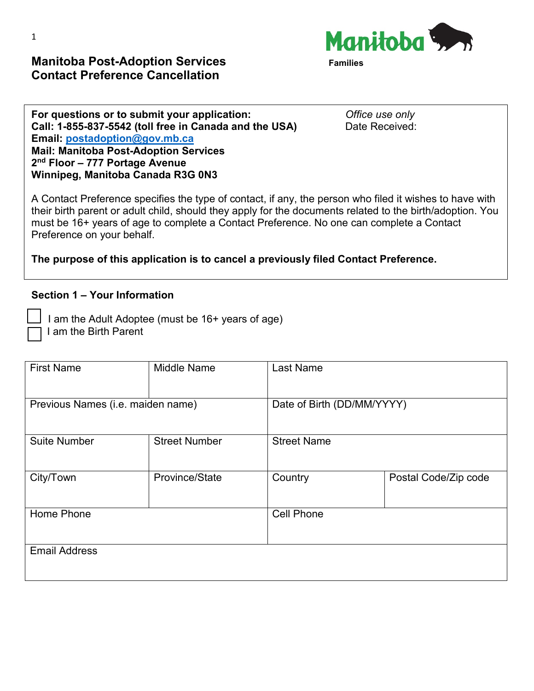**Manitoba Post-Adoption Services Contact Preference Cancellation** 



**For questions or to submit your application:** *Office use only*<br> **Call: 1-855-837-5542 (toll free in Canada and the USA)** Date Received: Call: 1-855-837-5542 (toll free in Canada and the USA) **Email: [postadoption@gov.mb.ca](mailto:postadoption@gov.mb.ca)  Mail: Manitoba Post-Adoption Services 2nd Floor – 777 Portage Avenue Winnipeg, Manitoba Canada R3G 0N3**

A Contact Preference specifies the type of contact, if any, the person who filed it wishes to have with their birth parent or adult child, should they apply for the documents related to the birth/adoption. You must be 16+ years of age to complete a Contact Preference. No one can complete a Contact Preference on your behalf.

**The purpose of this application is to cancel a previously filed Contact Preference.**

#### **Section 1 – Your Information**

 I am the Adult Adoptee (must be 16+ years of age) I am the Birth Parent

| <b>First Name</b>                 | <b>Middle Name</b>   | <b>Last Name</b>           |                      |
|-----------------------------------|----------------------|----------------------------|----------------------|
| Previous Names (i.e. maiden name) |                      | Date of Birth (DD/MM/YYYY) |                      |
| <b>Suite Number</b>               | <b>Street Number</b> | <b>Street Name</b>         |                      |
| City/Town                         | Province/State       | Country                    | Postal Code/Zip code |
| Home Phone                        |                      | <b>Cell Phone</b>          |                      |
| <b>Email Address</b>              |                      |                            |                      |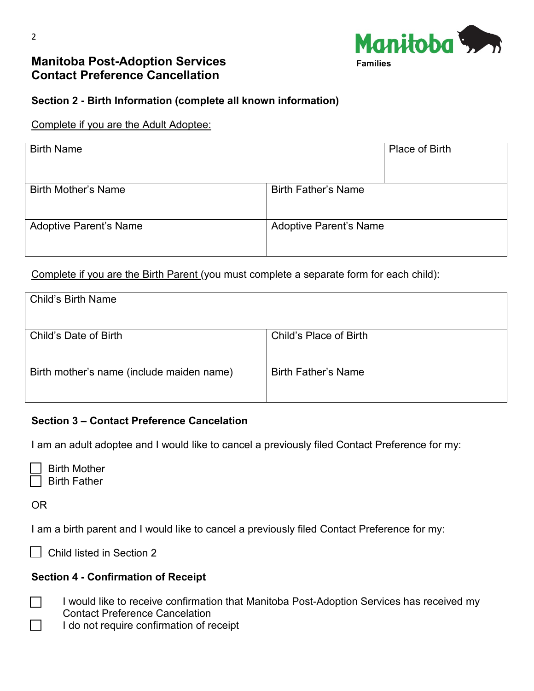

# **Manitoba Post-Adoption Services Contact Preference Cancellation**



### **Section 2 - Birth Information (complete all known information)**

#### Complete if you are the Adult Adoptee:

| <b>Birth Name</b>             | Place of Birth                |
|-------------------------------|-------------------------------|
| <b>Birth Mother's Name</b>    | <b>Birth Father's Name</b>    |
| <b>Adoptive Parent's Name</b> | <b>Adoptive Parent's Name</b> |

Complete if you are the Birth Parent (you must complete a separate form for each child):

| <b>Child's Birth Name</b>                 |                            |
|-------------------------------------------|----------------------------|
|                                           |                            |
|                                           |                            |
|                                           |                            |
| Child's Date of Birth                     | Child's Place of Birth     |
|                                           |                            |
|                                           |                            |
|                                           |                            |
| Birth mother's name (include maiden name) | <b>Birth Father's Name</b> |
|                                           |                            |
|                                           |                            |
|                                           |                            |

#### **Section 3 – Contact Preference Cancelation**

I am an adult adoptee and I would like to cancel a previously filed Contact Preference for my:

| <b>Birth Mother</b> |
|---------------------|
| <b>Birth Father</b> |

OR

I am a birth parent and I would like to cancel a previously filed Contact Preference for my:

□ Child listed in Section 2

#### **Section 4 - Confirmation of Receipt**

- I would like to receive confirmation that Manitoba Post-Adoption Services has received my Contact Preference Cancelation
- I do not require confirmation of receipt